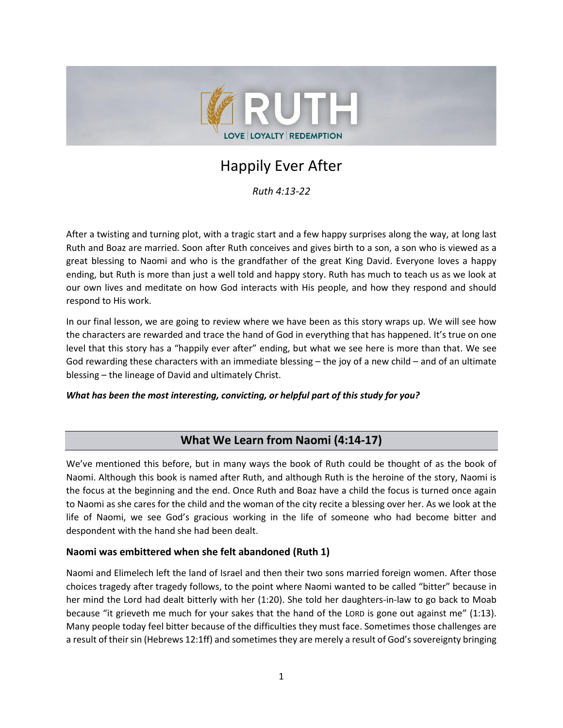

# Happily Ever After

*Ruth 4:13-22*

After a twisting and turning plot, with a tragic start and a few happy surprises along the way, at long last Ruth and Boaz are married. Soon after Ruth conceives and gives birth to a son, a son who is viewed as a great blessing to Naomi and who is the grandfather of the great King David. Everyone loves a happy ending, but Ruth is more than just a well told and happy story. Ruth has much to teach us as we look at our own lives and meditate on how God interacts with His people, and how they respond and should respond to His work.

In our final lesson, we are going to review where we have been as this story wraps up. We will see how the characters are rewarded and trace the hand of God in everything that has happened. It's true on one level that this story has a "happily ever after" ending, but what we see here is more than that. We see God rewarding these characters with an immediate blessing – the joy of a new child – and of an ultimate blessing – the lineage of David and ultimately Christ.

### *What has been the most interesting, convicting, or helpful part of this study for you?*

# **What We Learn from Naomi (4:14-17)**

We've mentioned this before, but in many ways the book of Ruth could be thought of as the book of Naomi. Although this book is named after Ruth, and although Ruth is the heroine of the story, Naomi is the focus at the beginning and the end. Once Ruth and Boaz have a child the focus is turned once again to Naomi as she cares for the child and the woman of the city recite a blessing over her. As we look at the life of Naomi, we see God's gracious working in the life of someone who had become bitter and despondent with the hand she had been dealt.

### **Naomi was embittered when she felt abandoned (Ruth 1)**

Naomi and Elimelech left the land of Israel and then their two sons married foreign women. After those choices tragedy after tragedy follows, to the point where Naomi wanted to be called "bitter" because in her mind the Lord had dealt bitterly with her (1:20). She told her daughters-in-law to go back to Moab because "it grieveth me much for your sakes that the hand of the LORD is gone out against me" (1:13). Many people today feel bitter because of the difficulties they must face. Sometimes those challenges are a result of their sin (Hebrews 12:1ff) and sometimes they are merely a result of God's sovereignty bringing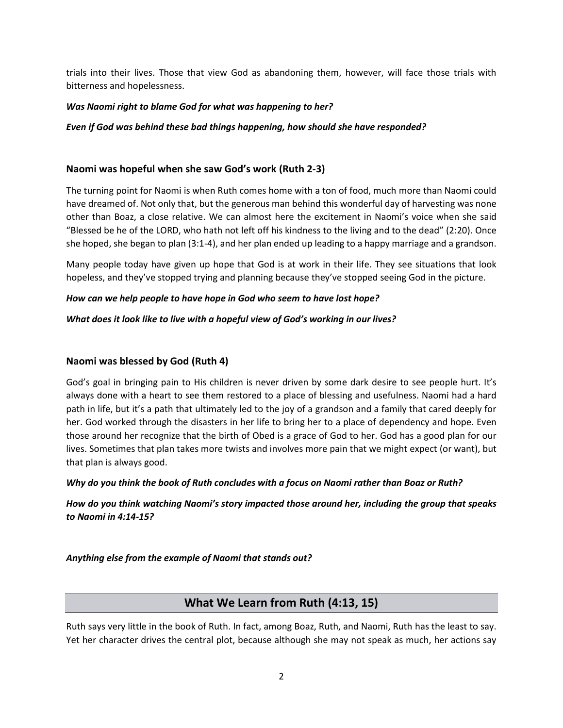trials into their lives. Those that view God as abandoning them, however, will face those trials with bitterness and hopelessness.

### *Was Naomi right to blame God for what was happening to her?*

### *Even if God was behind these bad things happening, how should she have responded?*

### **Naomi was hopeful when she saw God's work (Ruth 2-3)**

The turning point for Naomi is when Ruth comes home with a ton of food, much more than Naomi could have dreamed of. Not only that, but the generous man behind this wonderful day of harvesting was none other than Boaz, a close relative. We can almost here the excitement in Naomi's voice when she said "Blessed be he of the LORD, who hath not left off his kindness to the living and to the dead" (2:20). Once she hoped, she began to plan (3:1-4), and her plan ended up leading to a happy marriage and a grandson.

Many people today have given up hope that God is at work in their life. They see situations that look hopeless, and they've stopped trying and planning because they've stopped seeing God in the picture.

### *How can we help people to have hope in God who seem to have lost hope?*

### *What does it look like to live with a hopeful view of God's working in our lives?*

### **Naomi was blessed by God (Ruth 4)**

God's goal in bringing pain to His children is never driven by some dark desire to see people hurt. It's always done with a heart to see them restored to a place of blessing and usefulness. Naomi had a hard path in life, but it's a path that ultimately led to the joy of a grandson and a family that cared deeply for her. God worked through the disasters in her life to bring her to a place of dependency and hope. Even those around her recognize that the birth of Obed is a grace of God to her. God has a good plan for our lives. Sometimes that plan takes more twists and involves more pain that we might expect (or want), but that plan is always good.

### *Why do you think the book of Ruth concludes with a focus on Naomi rather than Boaz or Ruth?*

*How do you think watching Naomi's story impacted those around her, including the group that speaks to Naomi in 4:14-15?*

*Anything else from the example of Naomi that stands out?*

# **What We Learn from Ruth (4:13, 15)**

Ruth says very little in the book of Ruth. In fact, among Boaz, Ruth, and Naomi, Ruth has the least to say. Yet her character drives the central plot, because although she may not speak as much, her actions say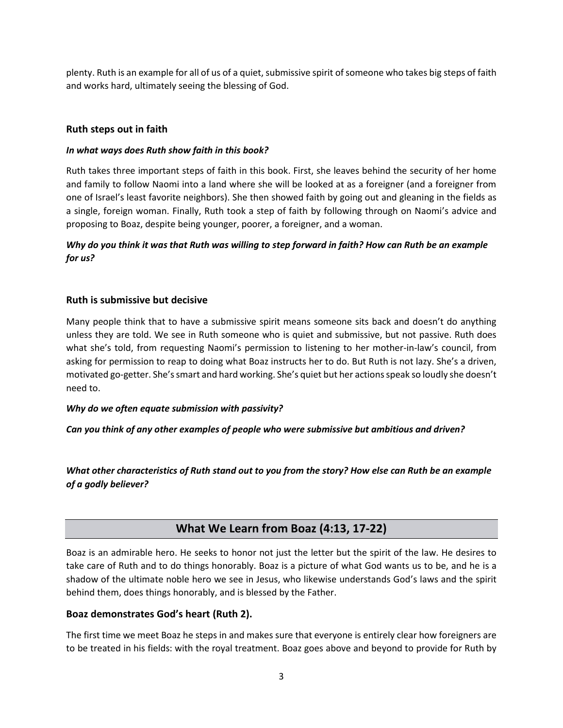plenty. Ruth is an example for all of us of a quiet, submissive spirit of someone who takes big steps of faith and works hard, ultimately seeing the blessing of God.

### **Ruth steps out in faith**

### *In what ways does Ruth show faith in this book?*

Ruth takes three important steps of faith in this book. First, she leaves behind the security of her home and family to follow Naomi into a land where she will be looked at as a foreigner (and a foreigner from one of Israel's least favorite neighbors). She then showed faith by going out and gleaning in the fields as a single, foreign woman. Finally, Ruth took a step of faith by following through on Naomi's advice and proposing to Boaz, despite being younger, poorer, a foreigner, and a woman.

# *Why do you think it was that Ruth was willing to step forward in faith? How can Ruth be an example for us?*

### **Ruth is submissive but decisive**

Many people think that to have a submissive spirit means someone sits back and doesn't do anything unless they are told. We see in Ruth someone who is quiet and submissive, but not passive. Ruth does what she's told, from requesting Naomi's permission to listening to her mother-in-law's council, from asking for permission to reap to doing what Boaz instructs her to do. But Ruth is not lazy. She's a driven, motivated go-getter. She's smart and hard working. She's quiet but her actions speak so loudly she doesn't need to.

### *Why do we often equate submission with passivity?*

*Can you think of any other examples of people who were submissive but ambitious and driven?*

*What other characteristics of Ruth stand out to you from the story? How else can Ruth be an example of a godly believer?*

# **What We Learn from Boaz (4:13, 17-22)**

Boaz is an admirable hero. He seeks to honor not just the letter but the spirit of the law. He desires to take care of Ruth and to do things honorably. Boaz is a picture of what God wants us to be, and he is a shadow of the ultimate noble hero we see in Jesus, who likewise understands God's laws and the spirit behind them, does things honorably, and is blessed by the Father.

### **Boaz demonstrates God's heart (Ruth 2).**

The first time we meet Boaz he steps in and makes sure that everyone is entirely clear how foreigners are to be treated in his fields: with the royal treatment. Boaz goes above and beyond to provide for Ruth by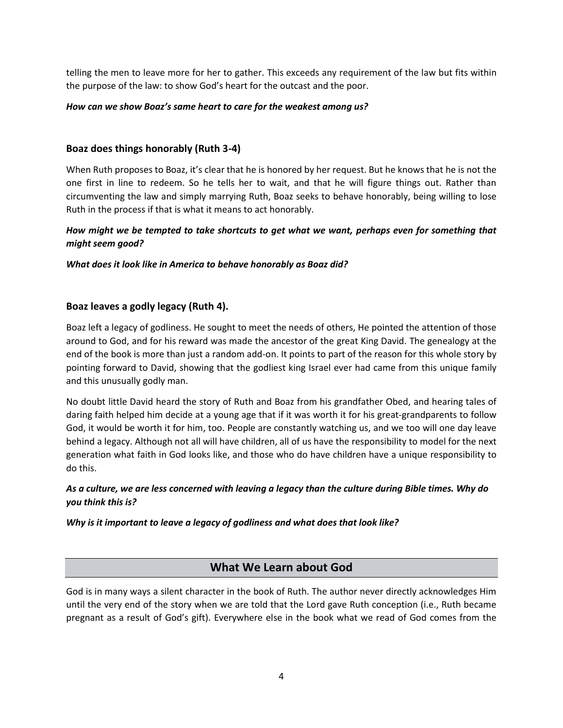telling the men to leave more for her to gather. This exceeds any requirement of the law but fits within the purpose of the law: to show God's heart for the outcast and the poor.

### *How can we show Boaz's same heart to care for the weakest among us?*

### **Boaz does things honorably (Ruth 3-4)**

When Ruth proposes to Boaz, it's clear that he is honored by her request. But he knows that he is not the one first in line to redeem. So he tells her to wait, and that he will figure things out. Rather than circumventing the law and simply marrying Ruth, Boaz seeks to behave honorably, being willing to lose Ruth in the process if that is what it means to act honorably.

# *How might we be tempted to take shortcuts to get what we want, perhaps even for something that might seem good?*

*What does it look like in America to behave honorably as Boaz did?*

### **Boaz leaves a godly legacy (Ruth 4).**

Boaz left a legacy of godliness. He sought to meet the needs of others, He pointed the attention of those around to God, and for his reward was made the ancestor of the great King David. The genealogy at the end of the book is more than just a random add-on. It points to part of the reason for this whole story by pointing forward to David, showing that the godliest king Israel ever had came from this unique family and this unusually godly man.

No doubt little David heard the story of Ruth and Boaz from his grandfather Obed, and hearing tales of daring faith helped him decide at a young age that if it was worth it for his great-grandparents to follow God, it would be worth it for him, too. People are constantly watching us, and we too will one day leave behind a legacy. Although not all will have children, all of us have the responsibility to model for the next generation what faith in God looks like, and those who do have children have a unique responsibility to do this.

### *As a culture, we are less concerned with leaving a legacy than the culture during Bible times. Why do you think this is?*

*Why is it important to leave a legacy of godliness and what does that look like?*

# **What We Learn about God**

God is in many ways a silent character in the book of Ruth. The author never directly acknowledges Him until the very end of the story when we are told that the Lord gave Ruth conception (i.e., Ruth became pregnant as a result of God's gift). Everywhere else in the book what we read of God comes from the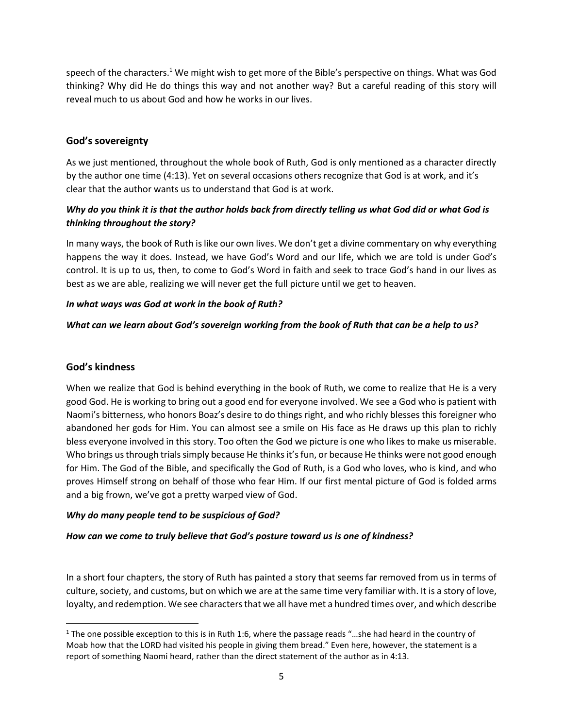speech of the characters.<sup>1</sup> We might wish to get more of the Bible's perspective on things. What was God thinking? Why did He do things this way and not another way? But a careful reading of this story will reveal much to us about God and how he works in our lives.

# **God's sovereignty**

As we just mentioned, throughout the whole book of Ruth, God is only mentioned as a character directly by the author one time (4:13). Yet on several occasions others recognize that God is at work, and it's clear that the author wants us to understand that God is at work.

# *Why do you think it is that the author holds back from directly telling us what God did or what God is thinking throughout the story?*

In many ways, the book of Ruth is like our own lives. We don't get a divine commentary on why everything happens the way it does. Instead, we have God's Word and our life, which we are told is under God's control. It is up to us, then, to come to God's Word in faith and seek to trace God's hand in our lives as best as we are able, realizing we will never get the full picture until we get to heaven.

### *In what ways was God at work in the book of Ruth?*

### *What can we learn about God's sovereign working from the book of Ruth that can be a help to us?*

### **God's kindness**

When we realize that God is behind everything in the book of Ruth, we come to realize that He is a very good God. He is working to bring out a good end for everyone involved. We see a God who is patient with Naomi's bitterness, who honors Boaz's desire to do things right, and who richly blesses this foreigner who abandoned her gods for Him. You can almost see a smile on His face as He draws up this plan to richly bless everyone involved in this story. Too often the God we picture is one who likes to make us miserable. Who brings us through trials simply because He thinks it's fun, or because He thinks were not good enough for Him. The God of the Bible, and specifically the God of Ruth, is a God who loves, who is kind, and who proves Himself strong on behalf of those who fear Him. If our first mental picture of God is folded arms and a big frown, we've got a pretty warped view of God.

### *Why do many people tend to be suspicious of God?*

### *How can we come to truly believe that God's posture toward us is one of kindness?*

In a short four chapters, the story of Ruth has painted a story that seems far removed from us in terms of culture, society, and customs, but on which we are at the same time very familiar with. It is a story of love, loyalty, and redemption. We see characters that we all have met a hundred times over, and which describe

<sup>&</sup>lt;sup>1</sup> The one possible exception to this is in Ruth 1:6, where the passage reads "...she had heard in the country of Moab how that the LORD had visited his people in giving them bread." Even here, however, the statement is a report of something Naomi heard, rather than the direct statement of the author as in 4:13.